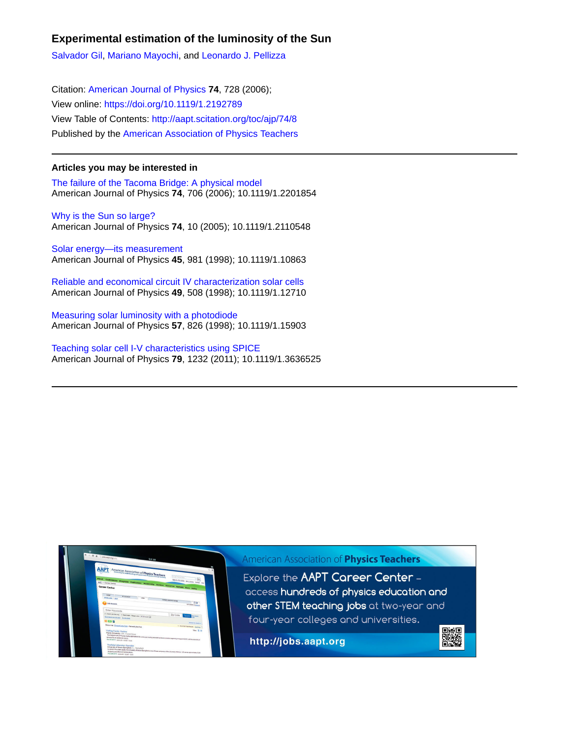## **Experimental estimation of the luminosity of the Sun**

[Salvador Gil,](http://aapt.scitation.org/author/Gil%2C+Salvador) [Mariano Mayochi](http://aapt.scitation.org/author/Mayochi%2C+Mariano), and [Leonardo J. Pellizza](http://aapt.scitation.org/author/Pellizza%2C+Leonardo+J)

Citation: [American Journal of Physics](/loi/ajp) **74**, 728 (2006); View online: <https://doi.org/10.1119/1.2192789> View Table of Contents: <http://aapt.scitation.org/toc/ajp/74/8> Published by the [American Association of Physics Teachers](http://aapt.scitation.org/publisher/)

## **Articles you may be interested in**

[The failure of the Tacoma Bridge: A physical model](http://aapt.scitation.org/doi/abs/10.1119/1.2201854) American Journal of Physics **74**, 706 (2006); 10.1119/1.2201854

[Why is the Sun so large?](http://aapt.scitation.org/doi/abs/10.1119/1.2110548) American Journal of Physics **74**, 10 (2005); 10.1119/1.2110548

[Solar energy—its measurement](http://aapt.scitation.org/doi/abs/10.1119/1.10863) American Journal of Physics **45**, 981 (1998); 10.1119/1.10863

[Reliable and economical circuit IV characterization solar cells](http://aapt.scitation.org/doi/abs/10.1119/1.12710) American Journal of Physics **49**, 508 (1998); 10.1119/1.12710

[Measuring solar luminosity with a photodiode](http://aapt.scitation.org/doi/abs/10.1119/1.15903) American Journal of Physics **57**, 826 (1998); 10.1119/1.15903

[Teaching solar cell I-V characteristics using SPICE](http://aapt.scitation.org/doi/abs/10.1119/1.3636525) American Journal of Physics **79**, 1232 (2011); 10.1119/1.3636525

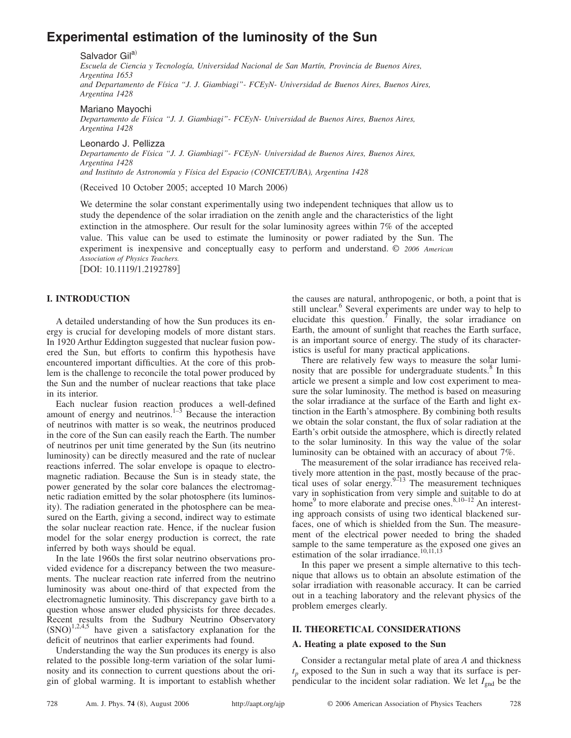# **Experimental estimation of the luminosity of the Sun**

#### Salvador Gil<sup>a)</sup>

*Escuela de Ciencia y Tecnología, Universidad Nacional de San Martín, Provincia de Buenos Aires, Argentina 1653 and Departamento de Física "J. J. Giambiagi"- FCEyN- Universidad de Buenos Aires, Buenos Aires, Argentina 1428*

#### Mariano Mayochi

*Departamento de Física "J. J. Giambiagi"- FCEyN- Universidad de Buenos Aires, Buenos Aires, Argentina 1428*

Leonardo J. Pellizza *Departamento de Física "J. J. Giambiagi"- FCEyN- Universidad de Buenos Aires, Buenos Aires, Argentina 1428 and Instituto de Astronomía y Física del Espacio (CONICET/UBA), Argentina 1428*

(Received 10 October 2005; accepted 10 March 2006)

We determine the solar constant experimentally using two independent techniques that allow us to study the dependence of the solar irradiation on the zenith angle and the characteristics of the light extinction in the atmosphere. Our result for the solar luminosity agrees within 7% of the accepted value. This value can be used to estimate the luminosity or power radiated by the Sun. The experiment is inexpensive and conceptually easy to perform and understand. © *2006 American Association of Physics Teachers.*

[DOI: 10.1119/1.2192789]

## **I. INTRODUCTION**

A detailed understanding of how the Sun produces its energy is crucial for developing models of more distant stars. In 1920 Arthur Eddington suggested that nuclear fusion powered the Sun, but efforts to confirm this hypothesis have encountered important difficulties. At the core of this problem is the challenge to reconcile the total power produced by the Sun and the number of nuclear reactions that take place in its interior.

Each nuclear fusion reaction produces a well-defined amount of energy and neutrinos. $1-3$  Because the interaction of neutrinos with matter is so weak, the neutrinos produced in the core of the Sun can easily reach the Earth. The number of neutrinos per unit time generated by the Sun (its neutrino luminosity) can be directly measured and the rate of nuclear reactions inferred. The solar envelope is opaque to electromagnetic radiation. Because the Sun is in steady state, the power generated by the solar core balances the electromagnetic radiation emitted by the solar photosphere (its luminosity). The radiation generated in the photosphere can be measured on the Earth, giving a second, indirect way to estimate the solar nuclear reaction rate. Hence, if the nuclear fusion model for the solar energy production is correct, the rate inferred by both ways should be equal.

In the late 1960s the first solar neutrino observations provided evidence for a discrepancy between the two measurements. The nuclear reaction rate inferred from the neutrino luminosity was about one-third of that expected from the electromagnetic luminosity. This discrepancy gave birth to a question whose answer eluded physicists for three decades. Recent results from the Sudbury Neutrino Observatory  $(SNO)^{1,2,4,5}$  have given a satisfactory explanation for the deficit of neutrinos that earlier experiments had found.

Understanding the way the Sun produces its energy is also related to the possible long-term variation of the solar luminosity and its connection to current questions about the origin of global warming. It is important to establish whether

the causes are natural, anthropogenic, or both, a point that is still unclear.<sup>6</sup> Several experiments are under way to help to elucidate this question.<sup>7</sup> Finally, the solar irradiance on Earth, the amount of sunlight that reaches the Earth surface, is an important source of energy. The study of its characteristics is useful for many practical applications.

There are relatively few ways to measure the solar luminosity that are possible for undergraduate students.<sup>8</sup> In this article we present a simple and low cost experiment to measure the solar luminosity. The method is based on measuring the solar irradiance at the surface of the Earth and light extinction in the Earth's atmosphere. By combining both results we obtain the solar constant, the flux of solar radiation at the Earth's orbit outside the atmosphere, which is directly related to the solar luminosity. In this way the value of the solar luminosity can be obtained with an accuracy of about 7%.

The measurement of the solar irradiance has received relatively more attention in the past, mostly because of the practical uses of solar energy. $9-13$  The measurement techniques vary in sophistication from very simple and suitable to do at home<sup>9</sup> to more elaborate and precise ones.<sup>8,10–12</sup> An interesting approach consists of using two identical blackened surfaces, one of which is shielded from the Sun. The measurement of the electrical power needed to bring the shaded sample to the same temperature as the exposed one gives an estimation of the solar irradiance.<sup>10,11,13</sup>

In this paper we present a simple alternative to this technique that allows us to obtain an absolute estimation of the solar irradiation with reasonable accuracy. It can be carried out in a teaching laboratory and the relevant physics of the problem emerges clearly.

#### **II. THEORETICAL CONSIDERATIONS**

### **A. Heating a plate exposed to the Sun**

Consider a rectangular metal plate of area *A* and thickness  $t_p$  exposed to the Sun in such a way that its surface is perpendicular to the incident solar radiation. We let  $I_{\text{gnd}}$  be the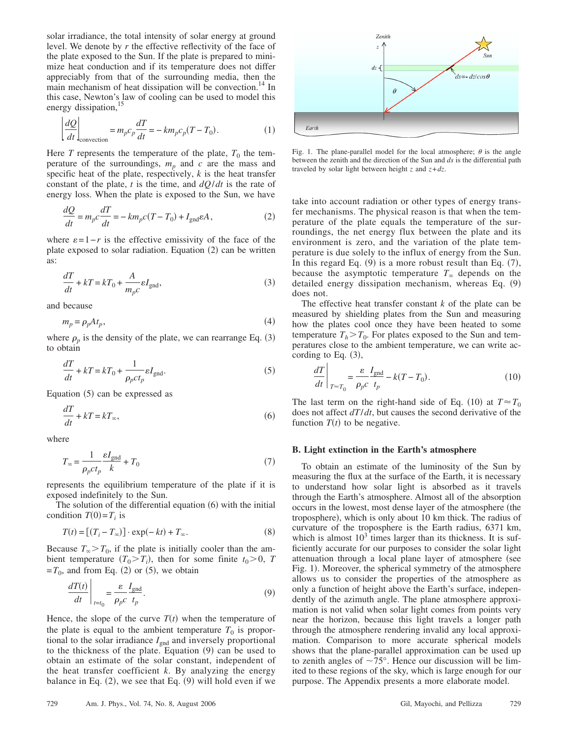solar irradiance, the total intensity of solar energy at ground level. We denote by *r* the effective reflectivity of the face of the plate exposed to the Sun. If the plate is prepared to minimize heat conduction and if its temperature does not differ appreciably from that of the surrounding media, then the main mechanism of heat dissipation will be convection.<sup>14</sup> In this case, Newton's law of cooling can be used to model this energy dissipation,<sup>15</sup>

$$
\left| \frac{dQ}{dt} \right|_{\text{convection}} = m_p c_p \frac{dT}{dt} = -km_p c_p (T - T_0). \tag{1}
$$

Here *T* represents the temperature of the plate,  $T_0$  the temperature of the surroundings,  $m_p$  and  $c$  are the mass and specific heat of the plate, respectively, *k* is the heat transfer constant of the plate, *t* is the time, and *dQ*/*dt* is the rate of energy loss. When the plate is exposed to the Sun, we have

$$
\frac{dQ}{dt} = m_p c \frac{dT}{dt} = -km_p c (T - T_0) + I_{\text{gnd}} \varepsilon A, \qquad (2)
$$

where  $\varepsilon = 1 - r$  is the effective emissivity of the face of the plate exposed to solar radiation. Equation (2) can be written as:

$$
\frac{dT}{dt} + kT = kT_0 + \frac{A}{m_p c} \varepsilon I_{\text{gnd}},
$$
\n(3)

and because

$$
m_p = \rho_p A t_p, \tag{4}
$$

where  $\rho_p$  is the density of the plate, we can rearrange Eq. (3) to obtain

$$
\frac{dT}{dt} + kT = kT_0 + \frac{1}{\rho_p ct_p} \varepsilon I_{\text{gnd}}.\tag{5}
$$

Equation (5) can be expressed as

$$
\frac{dT}{dt} + kT = kT_{\infty},\tag{6}
$$

where

$$
T_{\infty} = \frac{1}{\rho_p c t_p} \frac{\varepsilon I_{\text{gnd}}}{k} + T_0 \tag{7}
$$

represents the equilibrium temperature of the plate if it is exposed indefinitely to the Sun.

The solution of the differential equation  $(6)$  with the initial condition  $T(0) = T_i$  is

$$
T(t) = [(T_i - T_{\infty})] \cdot \exp(-kt) + T_{\infty}.
$$
 (8)

Because  $T_{\infty} > T_0$ , if the plate is initially cooler than the ambient temperature  $(T_0 > T_i)$ , then for some finite  $t_0 > 0$ , *T*  $=T_0$ , and from Eq. (2) or (5), we obtain

$$
\left. \frac{dT(t)}{dt} \right|_{t=t_0} = \frac{\varepsilon}{\rho_p c} \frac{I_{\text{gnd}}}{t_p}.
$$
\n(9)

Hence, the slope of the curve  $T(t)$  when the temperature of the plate is equal to the ambient temperature  $T_0$  is proportional to the solar irradiance  $I_{\text{gnd}}$  and inversely proportional to the thickness of the plate. Equation (9) can be used to obtain an estimate of the solar constant, independent of the heat transfer coefficient *k*. By analyzing the energy balance in Eq.  $(2)$ , we see that Eq.  $(9)$  will hold even if we



Fig. 1. The plane-parallel model for the local atmosphere;  $\theta$  is the angle between the zenith and the direction of the Sun and *ds* is the differential path traveled by solar light between height *z* and *z*+*dz*.

take into account radiation or other types of energy transfer mechanisms. The physical reason is that when the temperature of the plate equals the temperature of the surroundings, the net energy flux between the plate and its environment is zero, and the variation of the plate temperature is due solely to the influx of energy from the Sun. In this regard Eq.  $(9)$  is a more robust result than Eq.  $(7)$ , because the asymptotic temperature  $T_{\infty}$  depends on the detailed energy dissipation mechanism, whereas Eq. (9) does not.

The effective heat transfer constant *k* of the plate can be measured by shielding plates from the Sun and measuring how the plates cool once they have been heated to some temperature  $T_h > T_0$ . For plates exposed to the Sun and temperatures close to the ambient temperature, we can write according to Eq.  $(3)$ ,

$$
\left. \frac{dT}{dt} \right|_{T \approx T_0} = \frac{\varepsilon}{\rho_p c} \frac{I_{\text{gnd}}}{t_p} - k(T - T_0). \tag{10}
$$

The last term on the right-hand side of Eq. (10) at  $T \approx T_0$ does not affect *dT*/*dt*, but causes the second derivative of the function  $T(t)$  to be negative.

#### **B. Light extinction in the Earth's atmosphere**

To obtain an estimate of the luminosity of the Sun by measuring the flux at the surface of the Earth, it is necessary to understand how solar light is absorbed as it travels through the Earth's atmosphere. Almost all of the absorption occurs in the lowest, most dense layer of the atmosphere (the troposphere), which is only about 10 km thick. The radius of curvature of the troposphere is the Earth radius, 6371 km, which is almost  $10<sup>3</sup>$  times larger than its thickness. It is sufficiently accurate for our purposes to consider the solar light attenuation through a local plane layer of atmosphere (see Fig. 1). Moreover, the spherical symmetry of the atmosphere allows us to consider the properties of the atmosphere as only a function of height above the Earth's surface, independently of the azimuth angle. The plane atmosphere approximation is not valid when solar light comes from points very near the horizon, because this light travels a longer path through the atmosphere rendering invalid any local approximation. Comparison to more accurate spherical models shows that the plane-parallel approximation can be used up to zenith angles of  $\sim 75^{\circ}$ . Hence our discussion will be limited to these regions of the sky, which is large enough for our purpose. The Appendix presents a more elaborate model.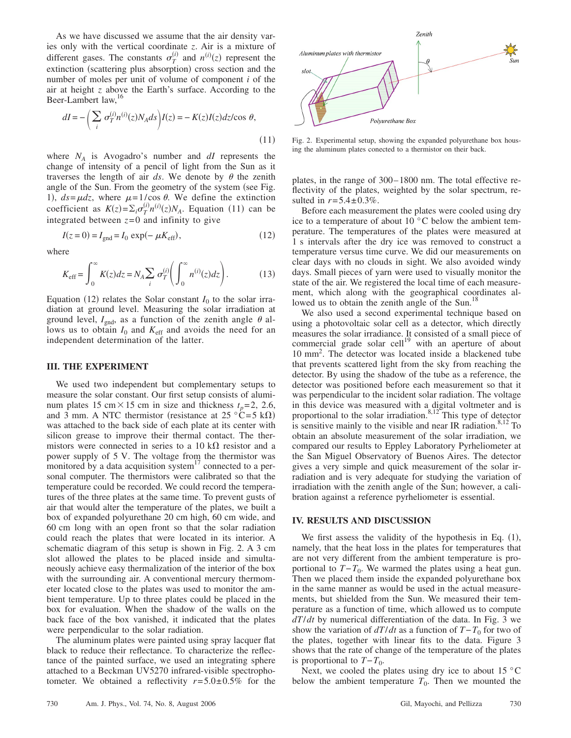As we have discussed we assume that the air density varies only with the vertical coordinate *z*. Air is a mixture of different gases. The constants  $\sigma_T^{(i)}$  and  $n^{(i)}(z)$  represent the extinction (scattering plus absorption) cross section and the number of moles per unit of volume of component *i* of the air at height *z* above the Earth's surface. According to the Beer-Lambert law,<sup>16</sup>

$$
dI = -\left(\sum_{i} \sigma_T^{(i)} n^{(i)}(z) N_A ds\right) I(z) = -K(z)I(z)dz/\cos \theta,
$$
\n(11)

where  $N_A$  is Avogadro's number and  $dI$  represents the change of intensity of a pencil of light from the Sun as it traverses the length of air  $ds$ . We denote by  $\theta$  the zenith angle of the Sun. From the geometry of the system (see Fig. 1),  $ds = \mu dz$ , where  $\mu = 1/\cos \theta$ . We define the extinction coefficient as  $K(z) = \sum_i \sigma_T^{(i)} n^{(i)}(z) N_A$ . Equation (11) can be integrated between  $z=0$  and infinity to give

$$
I(z = 0) = I_{\text{gnd}} = I_0 \exp(-\mu K_{\text{eff}}),
$$
\n(12)

where

$$
K_{\text{eff}} = \int_0^\infty K(z)dz = N_A \sum_i \sigma_T^{(i)} \left( \int_0^\infty n^{(i)}(z)dz \right). \tag{13}
$$

Equation (12) relates the Solar constant  $I_0$  to the solar irradiation at ground level. Measuring the solar irradiation at ground level,  $I_{\text{gnd}}$ , as a function of the zenith angle  $\theta$  allows us to obtain  $I_0$  and  $K_{\text{eff}}$  and avoids the need for an independent determination of the latter.

#### **III. THE EXPERIMENT**

We used two independent but complementary setups to measure the solar constant. Our first setup consists of aluminum plates 15 cm $\times$ 15 cm in size and thickness  $t_p$ = 2, 2.6, and 3 mm. A NTC thermistor (resistance at  $25 \text{ °C} = 5 \text{ k}\Omega$ ) was attached to the back side of each plate at its center with silicon grease to improve their thermal contact. The thermistors were connected in series to a 10 k $\Omega$  resistor and a power supply of 5 V. The voltage from the thermistor was monitored by a data acquisition system $17$  connected to a personal computer. The thermistors were calibrated so that the temperature could be recorded. We could record the temperatures of the three plates at the same time. To prevent gusts of air that would alter the temperature of the plates, we built a box of expanded polyurethane 20 cm high, 60 cm wide, and 60 cm long with an open front so that the solar radiation could reach the plates that were located in its interior. A schematic diagram of this setup is shown in Fig. 2. A 3 cm slot allowed the plates to be placed inside and simultaneously achieve easy thermalization of the interior of the box with the surrounding air. A conventional mercury thermometer located close to the plates was used to monitor the ambient temperature. Up to three plates could be placed in the box for evaluation. When the shadow of the walls on the back face of the box vanished, it indicated that the plates were perpendicular to the solar radiation.

The aluminum plates were painted using spray lacquer flat black to reduce their reflectance. To characterize the reflectance of the painted surface, we used an integrating sphere attached to a Beckman UV5270 infrared-visible spectrophotometer. We obtained a reflectivity  $r = 5.0 \pm 0.5\%$  for the



Fig. 2. Experimental setup, showing the expanded polyurethane box housing the aluminum plates conected to a thermistor on their back.

plates, in the range of 300– 1800 nm. The total effective reflectivity of the plates, weighted by the solar spectrum, resulted in  $r = 5.4 \pm 0.3\%$ .

Before each measurement the plates were cooled using dry ice to a temperature of about 10 °C below the ambient temperature. The temperatures of the plates were measured at 1 s intervals after the dry ice was removed to construct a temperature versus time curve. We did our measurements on clear days with no clouds in sight. We also avoided windy days. Small pieces of yarn were used to visually monitor the state of the air. We registered the local time of each measurement, which along with the geographical coordinates allowed us to obtain the zenith angle of the Sun.<sup>1</sup>

We also used a second experimental technique based on using a photovoltaic solar cell as a detector, which directly measures the solar irradiance. It consisted of a small piece of commercial grade solar cell<sup>19</sup> with an aperture of about 10 mm2 . The detector was located inside a blackened tube that prevents scattered light from the sky from reaching the detector. By using the shadow of the tube as a reference, the detector was positioned before each measurement so that it was perpendicular to the incident solar radiation. The voltage in this device was measured with a digital voltmeter and is proportional to the solar irradiation. $8,12$  This type of detector is sensitive mainly to the visible and near IR radiation. $8,12$  To obtain an absolute measurement of the solar irradiation, we compared our results to Eppley Laboratory Pyrheliometer at the San Miguel Observatory of Buenos Aires. The detector gives a very simple and quick measurement of the solar irradiation and is very adequate for studying the variation of irradiation with the zenith angle of the Sun; however, a calibration against a reference pyrheliometer is essential.

#### **IV. RESULTS AND DISCUSSION**

We first assess the validity of the hypothesis in Eq.  $(1)$ , namely, that the heat loss in the plates for temperatures that are not very different from the ambient temperature is proportional to  $T-T_0$ . We warmed the plates using a heat gun. Then we placed them inside the expanded polyurethane box in the same manner as would be used in the actual measurements, but shielded from the Sun. We measured their temperature as a function of time, which allowed us to compute *dT*/*dt* by numerical differentiation of the data. In Fig. 3 we show the variation of  $dT/dt$  as a function of  $T-T_0$  for two of the plates, together with linear fits to the data. Figure 3 shows that the rate of change of the temperature of the plates is proportional to  $T-T_0$ .

Next, we cooled the plates using dry ice to about 15  $\degree$ C below the ambient temperature  $T_0$ . Then we mounted the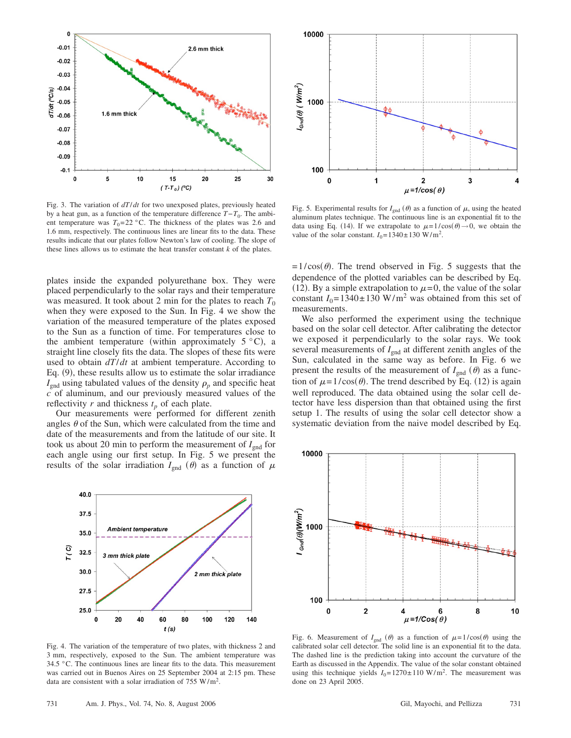

Fig. 3. The variation of *dT*/*dt* for two unexposed plates, previously heated by a heat gun, as a function of the temperature difference  $T-T_0$ . The ambient temperature was  $T_0 = 22 \degree C$ . The thickness of the plates was 2.6 and 1.6 mm, respectively. The continuous lines are linear fits to the data. These results indicate that our plates follow Newton's law of cooling. The slope of these lines allows us to estimate the heat transfer constant *k* of the plates.

plates inside the expanded polyurethane box. They were placed perpendicularly to the solar rays and their temperature was measured. It took about 2 min for the plates to reach  $T_0$ when they were exposed to the Sun. In Fig. 4 we show the variation of the measured temperature of the plates exposed to the Sun as a function of time. For temperatures close to the ambient temperature (within approximately  $5^{\circ}$ C), a straight line closely fits the data. The slopes of these fits were used to obtain *dT*/*dt* at ambient temperature. According to Eq. (9), these results allow us to estimate the solar irradiance  $I_{\text{gnd}}$  using tabulated values of the density  $\rho_p$  and specific heat *c* of aluminum, and our previously measured values of the reflectivity  $r$  and thickness  $t_p$  of each plate.

Our measurements were performed for different zenith angles  $\theta$  of the Sun, which were calculated from the time and date of the measurements and from the latitude of our site. It took us about 20 min to perform the measurement of  $I_{\text{end}}$  for each angle using our first setup. In Fig. 5 we present the results of the solar irradiation  $I_{\text{gnd}}(\theta)$  as a function of  $\mu$ 



Fig. 4. The variation of the temperature of two plates, with thickness 2 and 3 mm, respectively, exposed to the Sun. The ambient temperature was 34.5 °C. The continuous lines are linear fits to the data. This measurement was carried out in Buenos Aires on 25 September 2004 at 2:15 pm. These data are consistent with a solar irradiation of 755 W/m<sup>2</sup>.



Fig. 5. Experimental results for  $I_{\text{gnd}}(\theta)$  as a function of  $\mu$ , using the heated aluminum plates technique. The continuous line is an exponential fit to the data using Eq. (14). If we extrapolate to  $\mu = 1/\cos(\theta) \rightarrow 0$ , we obtain the value of the solar constant.  $I_0 = 1340 \pm 130 \text{ W/m}^2$ .

 $= 1/\cos(\theta)$ . The trend observed in Fig. 5 suggests that the dependence of the plotted variables can be described by Eq. (12). By a simple extrapolation to  $\mu$ =0, the value of the solar constant  $I_0 = 1340 \pm 130$  W/m<sup>2</sup> was obtained from this set of measurements.

We also performed the experiment using the technique based on the solar cell detector. After calibrating the detector we exposed it perpendicularly to the solar rays. We took several measurements of  $I_{\text{gnd}}$  at different zenith angles of the Sun, calculated in the same way as before. In Fig. 6 we present the results of the measurement of  $I_{\text{gnd}}(\theta)$  as a function of  $\mu = 1/\cos(\theta)$ . The trend described by Eq. (12) is again well reproduced. The data obtained using the solar cell detector have less dispersion than that obtained using the first setup 1. The results of using the solar cell detector show a systematic deviation from the naive model described by Eq.



Fig. 6. Measurement of  $I_{\text{gnd}}(\theta)$  as a function of  $\mu = 1/\cos(\theta)$  using the calibrated solar cell detector. The solid line is an exponential fit to the data. The dashed line is the prediction taking into account the curvature of the Earth as discussed in the Appendix. The value of the solar constant obtained using this technique yields  $I_0 = 1270 \pm 110 \text{ W/m}^2$ . The measurement was done on 23 April 2005.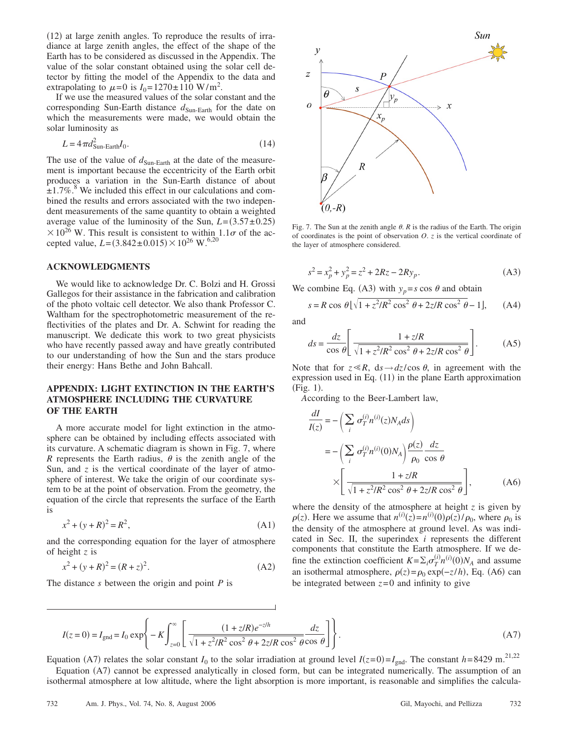(12) at large zenith angles. To reproduce the results of irradiance at large zenith angles, the effect of the shape of the Earth has to be considered as discussed in the Appendix. The value of the solar constant obtained using the solar cell detector by fitting the model of the Appendix to the data and extrapolating to  $\mu = 0$  is  $I_0 = 1270 \pm 110 \text{ W/m}^2$ .

If we use the measured values of the solar constant and the corresponding Sun-Earth distance  $d_{Sun\text{-}Earth}$  for the date on which the measurements were made, we would obtain the solar luminosity as

$$
L = 4\pi d_{\text{Sun-Earth}}^2 I_0. \tag{14}
$$

The use of the value of  $d_{Sun-Earth}$  at the date of the measurement is important because the eccentricity of the Earth orbit produces a variation in the Sun-Earth distance of about  $\pm 1.7\%$ .<sup>8</sup> We included this effect in our calculations and combined the results and errors associated with the two independent measurements of the same quantity to obtain a weighted average value of the luminosity of the Sun,  $L = (3.57 \pm 0.25)$  $\times 10^{26}$  W. This result is consistent to within  $1.1\sigma$  of the accepted value,  $L = (3.842 \pm 0.015) \times 10^{26}$  W.<sup>6,20</sup>

#### **ACKNOWLEDGMENTS**

We would like to acknowledge Dr. C. Bolzi and H. Grossi Gallegos for their assistance in the fabrication and calibration of the photo voltaic cell detector. We also thank Professor C. Waltham for the spectrophotometric measurement of the reflectivities of the plates and Dr. A. Schwint for reading the manuscript. We dedicate this work to two great physicists who have recently passed away and have greatly contributed to our understanding of how the Sun and the stars produce their energy: Hans Bethe and John Bahcall.

## **APPENDIX: LIGHT EXTINCTION IN THE EARTH'S ATMOSPHERE INCLUDING THE CURVATURE OF THE EARTH**

A more accurate model for light extinction in the atmosphere can be obtained by including effects associated with its curvature. A schematic diagram is shown in Fig. 7, where *R* represents the Earth radius,  $\theta$  is the zenith angle of the Sun, and *z* is the vertical coordinate of the layer of atmosphere of interest. We take the origin of our coordinate system to be at the point of observation. From the geometry, the equation of the circle that represents the surface of the Earth is

$$
x^2 + (y + R)^2 = R^2,
$$
 (A1)

and the corresponding equation for the layer of atmosphere of height *z* is

$$
x^{2} + (y + R)^{2} = (R + z)^{2}.
$$
 (A2)

The distance *s* between the origin and point *P* is



Fig. 7. The Sun at the zenith angle  $\theta$ .  $R$  is the radius of the Earth. The origin of coordinates is the point of observation *O*. *z* is the vertical coordinate of the layer of atmosphere considered.

$$
s^2 = x_p^2 + y_p^2 = z^2 + 2Rz - 2Ry_p.
$$
 (A3)

We combine Eq. (A3) with  $y_p = s \cos \theta$  and obtain

$$
s = R \cos \theta \left[ \sqrt{1 + z^2/R^2 \cos^2 \theta + 2z/R \cos^2 \theta} - 1 \right], \quad (A4)
$$

and

$$
ds = \frac{dz}{\cos \theta} \left[ \frac{1 + z/R}{\sqrt{1 + z^2/R^2 \cos^2 \theta + 2z/R \cos^2 \theta}} \right].
$$
 (A5)

Note that for  $z \ll R$ ,  $ds \rightarrow dz / cos \theta$ , in agreement with the expression used in Eq. (11) in the plane Earth approximation (Fig. 1).

*A*ccording to the Beer-Lambert law,

$$
\frac{dI}{I(z)} = -\left(\sum_{i} \sigma_{T}^{(i)} n^{(i)}(z) N_{A} ds\right)
$$

$$
= -\left(\sum_{i} \sigma_{T}^{(i)} n^{(i)}(0) N_{A}\right) \frac{\rho(z)}{\rho_{0}} \frac{dz}{\cos \theta}
$$

$$
\times \left[\frac{1 + z/R}{\sqrt{1 + z^{2}/R^{2} \cos^{2} \theta + 2z/R \cos^{2} \theta}}\right],
$$
(A6)

where the density of the atmosphere at height  $z$  is given by  $\rho(z)$ . Here we assume that  $n^{(i)}(z) = n^{(i)}(0)\rho(z)/\rho_0$ , where  $\rho_0$  is the density of the atmosphere at ground level. As was indicated in Sec. II, the superindex *i* represents the different components that constitute the Earth atmosphere. If we define the extinction coefficient  $K = \sum_i \sigma_T^{(i)} n^{(i)}(0) N_A$  and assume an isothermal atmosphere,  $\rho(z) = \rho_0 \exp(-z/h)$ , Eq. (A6) can be integrated between  $z=0$  and infinity to give

$$
I(z=0) = I_{\text{gnd}} = I_0 \exp\left\{-K \int_{z=0}^{\infty} \left[ \frac{(1+z/R)e^{-z/h}}{\sqrt{1+z^2/R^2 \cos^2 \theta + 2z/R \cos^2 \theta \cos \theta}} \frac{dz}{\cos \theta} \right] \right\}.
$$
 (A7)

Equation (A7) relates the solar constant *I*<sub>0</sub> to the solar irradiation at ground level *I*( $z=0$ )=*I*<sub>gnd</sub>. The constant *h*=8429 m.<sup>21,22</sup>

Equation (A7) cannot be expressed analytically in closed form, but can be integrated numerically. The assumption of an isothermal atmosphere at low altitude, where the light absorption is more important, is reasonable and simplifies the calcula